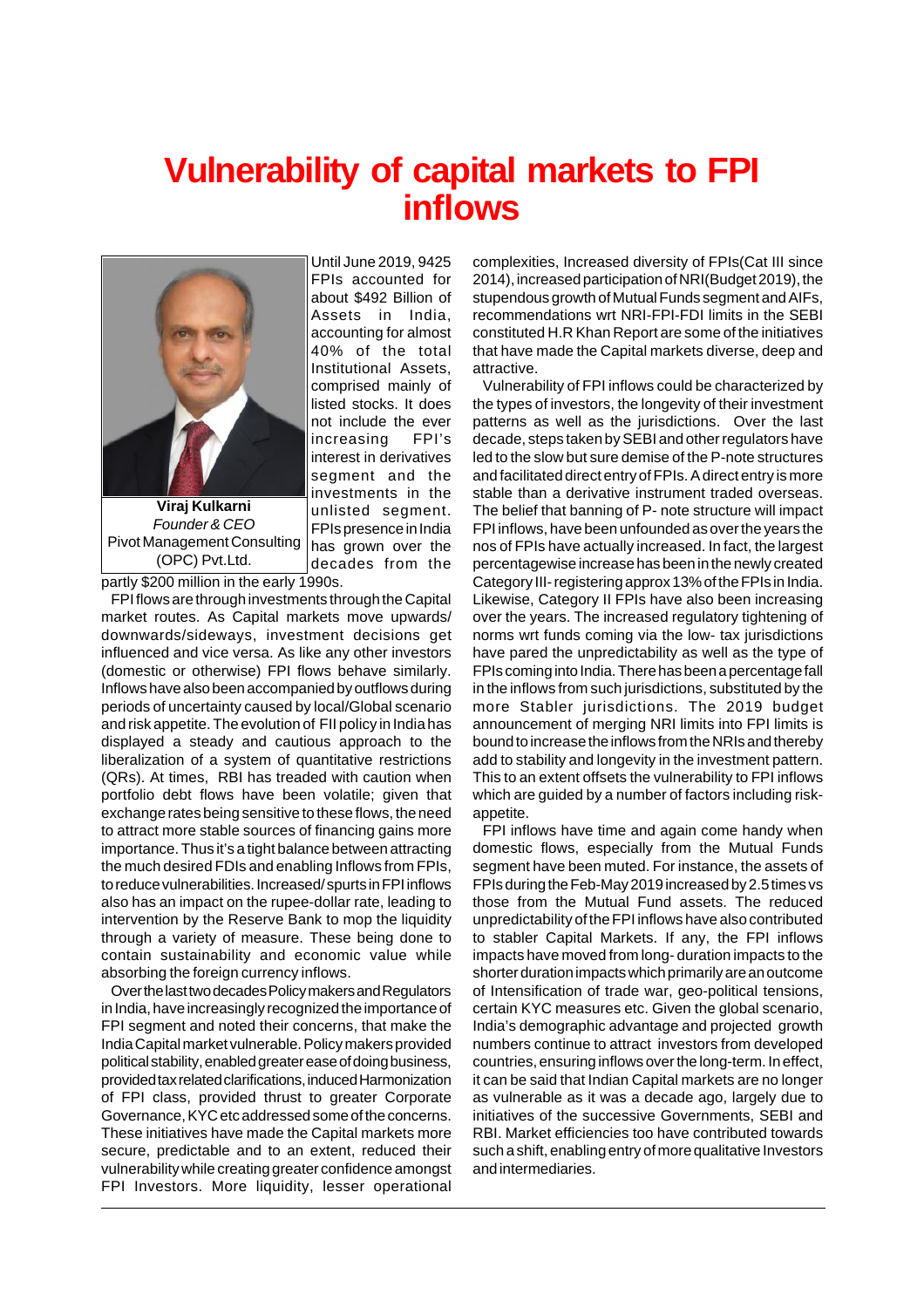## **Vulnerability of capital markets to FPI inflows**

Until June 2019, 9425 FPIs accounted for about \$492 Billion of Assets in India,

40% of the total

comprised mainly of

not include the ever increasing FPI's

segment and the investments in the unlisted segment. FPIs presence in India has grown over the decades from the



Pivot Management Consulting (OPC) Pvt.Ltd.

partly \$200 million in the early 1990s.

FPI flows are through investments through the Capital market routes. As Capital markets move upwards/ downwards/sideways, investment decisions get influenced and vice versa. As like any other investors (domestic or otherwise) FPI flows behave similarly. Inflows have also been accompanied by outflows during periods of uncertainty caused by local/Global scenario and risk appetite. The evolution of FII policy in India has displayed a steady and cautious approach to the liberalization of a system of quantitative restrictions (QRs). At times, RBI has treaded with caution when portfolio debt flows have been volatile; given that exchange rates being sensitive to these flows, the need to attract more stable sources of financing gains more importance. Thus it's a tight balance between attracting the much desired FDIs and enabling Inflows from FPIs, to reduce vulnerabilities. Increased/ spurts in FPI inflows also has an impact on the rupee-dollar rate, leading to intervention by the Reserve Bank to mop the liquidity through a variety of measure. These being done to contain sustainability and economic value while absorbing the foreign currency inflows.

Over the last two decades Policy makers and Regulators in India, have increasingly recognized the importance of FPI segment and noted their concerns, that make the India Capital market vulnerable. Policy makers provided political stability, enabled greater ease of doing business, provided tax related clarifications, induced Harmonization of FPI class, provided thrust to greater Corporate Governance, KYC etc addressed some of the concerns. These initiatives have made the Capital markets more secure, predictable and to an extent, reduced their vulnerability while creating greater confidence amongst FPI Investors. More liquidity, lesser operational complexities, Increased diversity of FPIs(Cat III since 2014), increased participation of NRI(Budget 2019), the stupendous growth of Mutual Funds segment and AIFs, recommendations wrt NRI-FPI-FDI limits in the SEBI constituted H.R Khan Report are some of the initiatives that have made the Capital markets diverse, deep and attractive.

Vulnerability of FPI inflows could be characterized by the types of investors, the longevity of their investment patterns as well as the jurisdictions. Over the last decade, steps taken by SEBI and other regulators have led to the slow but sure demise of the P-note structures and facilitated direct entry of FPIs. A direct entry is more stable than a derivative instrument traded overseas. The belief that banning of P- note structure will impact FPI inflows, have been unfounded as over the years the nos of FPIs have actually increased. In fact, the largest percentagewise increase has been in the newly created Category III- registering approx 13% of the FPIs in India. Likewise, Category II FPIs have also been increasing over the years. The increased regulatory tightening of norms wrt funds coming via the low- tax jurisdictions have pared the unpredictability as well as the type of FPIs coming into India. There has been a percentage fall in the inflows from such jurisdictions, substituted by the more Stabler jurisdictions. The 2019 budget announcement of merging NRI limits into FPI limits is bound to increase the inflows from the NRIs and thereby add to stability and longevity in the investment pattern. This to an extent offsets the vulnerability to FPI inflows which are guided by a number of factors including riskappetite.

FPI inflows have time and again come handy when domestic flows, especially from the Mutual Funds segment have been muted. For instance, the assets of FPIs during the Feb-May 2019 increased by 2.5 times vs those from the Mutual Fund assets. The reduced unpredictability of the FPI inflows have also contributed to stabler Capital Markets. If any, the FPI inflows impacts have moved from long- duration impacts to the shorter duration impacts which primarily are an outcome of Intensification of trade war, geo-political tensions, certain KYC measures etc. Given the global scenario, India's demographic advantage and projected growth numbers continue to attract investors from developed countries, ensuring inflows over the long-term. In effect, it can be said that Indian Capital markets are no longer as vulnerable as it was a decade ago, largely due to initiatives of the successive Governments, SEBI and RBI. Market efficiencies too have contributed towards such a shift, enabling entry of more qualitative Investors and intermediaries.